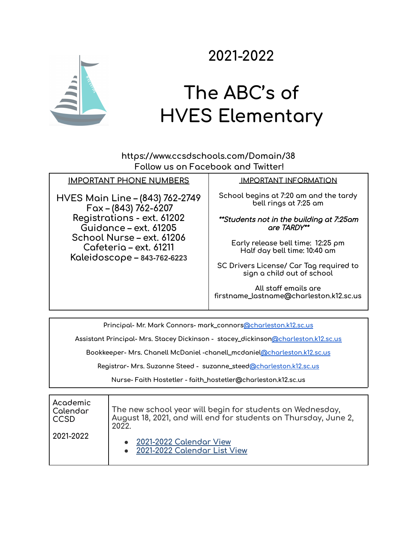

## **2021-2022**

## **The ABC's of HVES Elementary**

**https://www.ccsdschools.com/Domain/38 Follow us on Facebook and Twitter!**

## **IMPORTANT PHONE NUMBERS**

**HVES Main Line – (843) 762-2749 Fax – (843) 762-6207 Registrations - ext. 61202 Guidance – ext. 61205 School Nurse – ext. 61206 Cafeteria – ext. 61211 Kaleidoscope – 843-762-6223**

## **IMPORTANT INFORMATION**

**School begins at 7:20 am and the tardy bell rings at 7:25 am**

\*\*Students not in the building at 7:25am are TARDY\*\*

**Early release bell time: 12:25 pm Half day bell time: 10:40 am**

**SC Drivers License/ Car Tag required to sign a child out of school**

**All staff emails are firstname\_lastname@charleston.k12.sc.us**

**Principal- Mr. Mark Connors- mark\_connors[@charleston.k12.sc.us](mailto:shannon_mcalister@charleston.k12.sc.us)**

**Assistant Principal- Mrs. Stacey Dickinson - stacey\_dickinso[n@charleston.k12.sc.us](mailto:kyle_smalls@charleston.k12.sc.us)**

**Bookkeeper- Mrs. Chanell McDaniel -chanell\_mcdanie[l@charleston.k12.sc.us](mailto:barbara_cundiff@charleston.k12.sc.us)**

**Registrar- Mrs. Suzanne Steed - suzanne\_steed[@charleston.k12.sc.us](mailto:malinda_webster@charleston.k12.sc.us)**

**Nurse- Faith Hostetler - faith\_hostetler@charleston.k12.sc.us**

| Academic  | The new school year will begin for students on Wednesday,       |
|-----------|-----------------------------------------------------------------|
| Calendar  | August 18, 2021, and will end for students on Thursday, June 2, |
| CCSD      | 2022.                                                           |
| 2021-2022 | 2021-2022 Calendar View<br>2021-2022 Calendar List View         |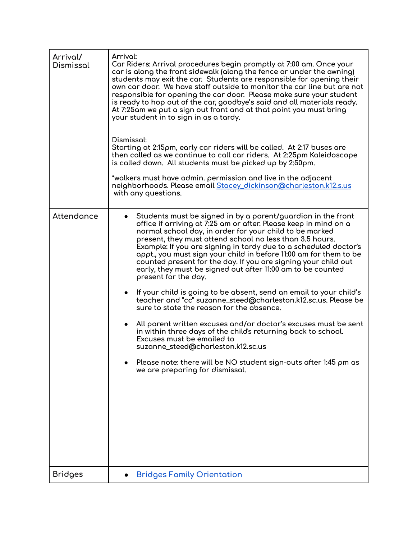| Arrival/<br>Dismissal | Arrival:<br>Car Riders: Arrival procedures begin promptly at 7:00 am. Once your<br>car is along the front sidewalk (along the fence or under the awning)<br>students may exit the car. Students are responsible for opening their<br>own car door. We have staff outside to monitor the car line but are not<br>responsible for opening the car door. Please make sure your student<br>is ready to hop out of the car, goodbye's said and all materials ready.<br>At 7:25am we put a sign out front and at that point you must bring<br>your student in to sign in as a tardy.<br>Dismissal:<br>Starting at 2:15pm, early car riders will be called. At 2:17 buses are<br>then called as we continue to call car riders. At 2:25pm Kaleidoscope<br>is called down. All students must be picked up by 2:50pm.<br>*walkers must have admin. permission and live in the adjacent<br>neighborhoods. Please email Stacey_dickinson@charleston.k12.s.us<br>with any questions.                                                                                                   |
|-----------------------|----------------------------------------------------------------------------------------------------------------------------------------------------------------------------------------------------------------------------------------------------------------------------------------------------------------------------------------------------------------------------------------------------------------------------------------------------------------------------------------------------------------------------------------------------------------------------------------------------------------------------------------------------------------------------------------------------------------------------------------------------------------------------------------------------------------------------------------------------------------------------------------------------------------------------------------------------------------------------------------------------------------------------------------------------------------------------|
|                       |                                                                                                                                                                                                                                                                                                                                                                                                                                                                                                                                                                                                                                                                                                                                                                                                                                                                                                                                                                                                                                                                            |
| Attendance            | Students must be signed in by a parent/guardian in the front<br>office if arriving at 7:25 am or after. Please keep in mind on a<br>normal school day, in order for your child to be marked<br>present, they must attend school no less than 3.5 hours.<br>Example: If you are signing in tardy due to a scheduled doctor's<br>appt., you must sign your child in before 11:00 am for them to be<br>counted present for the day. If you are signing your child out<br>early, they must be signed out after 11:00 am to be counted<br>present for the day.<br>If your child is going to be absent, send an email to your child's<br>teacher and "cc" suzanne_steed@charleston.k12.sc.us. Please be<br>sure to state the reason for the absence.<br>All parent written excuses and/or doctor's excuses must be sent<br>$\bullet$<br>in within three days of the child's returning back to school.<br>Excuses must be emailed to<br>suzanne_steed@charleston.k12.sc.us<br>Please note: there will be NO student sign-outs after 1:45 pm as<br>we are preparing for dismissal. |
| <b>Bridges</b>        | <b>Bridges Family Orientation</b>                                                                                                                                                                                                                                                                                                                                                                                                                                                                                                                                                                                                                                                                                                                                                                                                                                                                                                                                                                                                                                          |
|                       |                                                                                                                                                                                                                                                                                                                                                                                                                                                                                                                                                                                                                                                                                                                                                                                                                                                                                                                                                                                                                                                                            |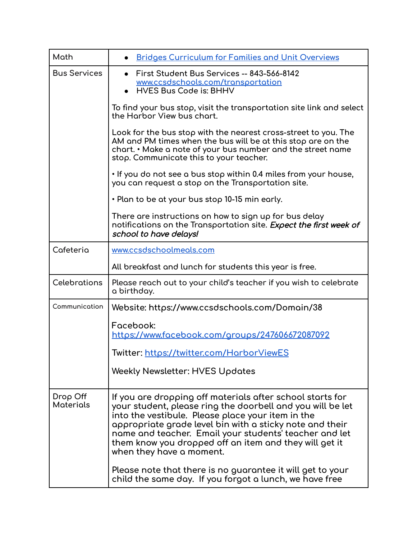| Math                         | <b>Bridges Curriculum for Families and Unit Overviews</b>                                                                                                                                                                                                                                                                                                                                |
|------------------------------|------------------------------------------------------------------------------------------------------------------------------------------------------------------------------------------------------------------------------------------------------------------------------------------------------------------------------------------------------------------------------------------|
| <b>Bus Services</b>          | First Student Bus Services -- 843-566-8142<br>www.ccsdschools.com/transportation<br><b>HVES Bus Code is: BHHV</b>                                                                                                                                                                                                                                                                        |
|                              | To find your bus stop, visit the transportation site link and select<br>the Harbor View bus chart.                                                                                                                                                                                                                                                                                       |
|                              | Look for the bus stop with the nearest cross-street to you. The<br>AM and PM times when the bus will be at this stop are on the<br>chart. • Make a note of your bus number and the street name<br>stop. Communicate this to your teacher.                                                                                                                                                |
|                              | . If you do not see a bus stop within 0.4 miles from your house,<br>you can request a stop on the Transportation site.                                                                                                                                                                                                                                                                   |
|                              | • Plan to be at your bus stop 10-15 min early.                                                                                                                                                                                                                                                                                                                                           |
|                              | There are instructions on how to sign up for bus delay<br>notifications on the Transportation site. Expect the first week of<br>school to have delays!                                                                                                                                                                                                                                   |
| Cafeteria                    | www.ccsdschoolmeals.com                                                                                                                                                                                                                                                                                                                                                                  |
|                              | All breakfast and lunch for students this year is free.                                                                                                                                                                                                                                                                                                                                  |
| <b>Celebrations</b>          | Please reach out to your child's teacher if you wish to celebrate<br>a birthday.                                                                                                                                                                                                                                                                                                         |
| Communication                | Website: https://www.ccsdschools.com/Domain/38                                                                                                                                                                                                                                                                                                                                           |
|                              | Facebook:<br>https://www.facebook.com/groups/247606672087092                                                                                                                                                                                                                                                                                                                             |
|                              | Twitter: https://twitter.com/HarborViewES                                                                                                                                                                                                                                                                                                                                                |
|                              | <b>Weekly Newsletter: HVES Updates</b>                                                                                                                                                                                                                                                                                                                                                   |
| Drop Off<br><b>Materials</b> | If you are dropping off materials after school starts for<br>your student, please ring the doorbell and you will be let<br>into the vestibule. Please place your item in the<br>appropriate grade level bin with a sticky note and their<br>name and teacher. Email your students' teacher and let<br>them know you dropped off an item and they will get it<br>when they have a moment. |
|                              | Please note that there is no guarantee it will get to your<br>child the same day. If you forgot a lunch, we have free                                                                                                                                                                                                                                                                    |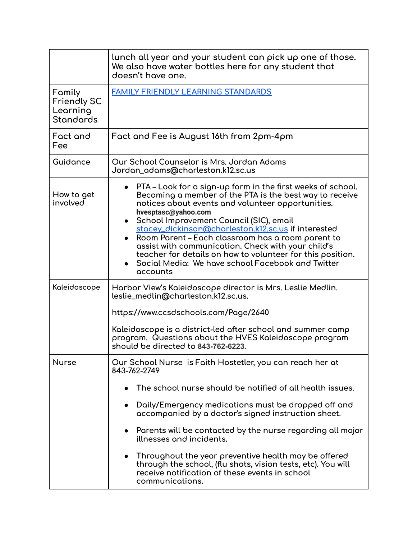|                                                              | lunch all year and your student can pick up one of those.<br>We also have water bottles here for any student that<br>doesn't have one.                                                                                                                                                                                                                                                                                                                                                                                                         |
|--------------------------------------------------------------|------------------------------------------------------------------------------------------------------------------------------------------------------------------------------------------------------------------------------------------------------------------------------------------------------------------------------------------------------------------------------------------------------------------------------------------------------------------------------------------------------------------------------------------------|
| Family<br><b>Friendly SC</b><br>Learning<br><b>Standards</b> | <b>FAMILY FRIENDLY LEARNING STANDARDS</b>                                                                                                                                                                                                                                                                                                                                                                                                                                                                                                      |
| Fact and<br>Fee                                              | Fact and Fee is August 16th from 2pm-4pm                                                                                                                                                                                                                                                                                                                                                                                                                                                                                                       |
| Guidance                                                     | Our School Counselor is Mrs. Jordan Adams<br>Jordan_adams@charleston.k12.sc.us                                                                                                                                                                                                                                                                                                                                                                                                                                                                 |
| How to get<br>involved                                       | PTA – Look for a sign-up form in the first weeks of school.<br>Becoming a member of the PTA is the best way to receive<br>notices about events and volunteer opportunities.<br>hvesptasc@yahoo.com<br>School Improvement Council (SIC), email<br>stacey_dickinson@charleston.k12.sc.us if interested<br>Room Parent – Each classroom has a room parent to<br>assist with communication. Check with your child's<br>teacher for details on how to volunteer for this position.<br>Social Media: We have school Facebook and Twitter<br>accounts |
| Kaleidoscope                                                 | Harbor View's Kaleidoscope director is Mrs. Leslie Medlin.<br>leslie_medlin@charleston.k12.sc.us.                                                                                                                                                                                                                                                                                                                                                                                                                                              |
|                                                              | https://www.ccsdschools.com/Page/2640                                                                                                                                                                                                                                                                                                                                                                                                                                                                                                          |
|                                                              | Kaleidoscope is a district-led after school and summer camp<br>program. Questions about the HVES Kaleidoscope program<br>should be directed to 843-762-6223.                                                                                                                                                                                                                                                                                                                                                                                   |
| <b>Nurse</b>                                                 | Our School Nurse is Faith Hostetler, you can reach her at<br>843-762-2749                                                                                                                                                                                                                                                                                                                                                                                                                                                                      |
|                                                              | The school nurse should be notified of all health issues.                                                                                                                                                                                                                                                                                                                                                                                                                                                                                      |
|                                                              | Daily/Emergency medications must be dropped off and<br>accompanied by a doctor's signed instruction sheet.                                                                                                                                                                                                                                                                                                                                                                                                                                     |
|                                                              | Parents will be contacted by the nurse regarding all major<br>$\bullet$<br>illnesses and incidents.                                                                                                                                                                                                                                                                                                                                                                                                                                            |
|                                                              | Throughout the year preventive health may be offered<br>through the school, (flu shots, vision tests, etc). You will<br>receive notification of these events in school<br>communications.                                                                                                                                                                                                                                                                                                                                                      |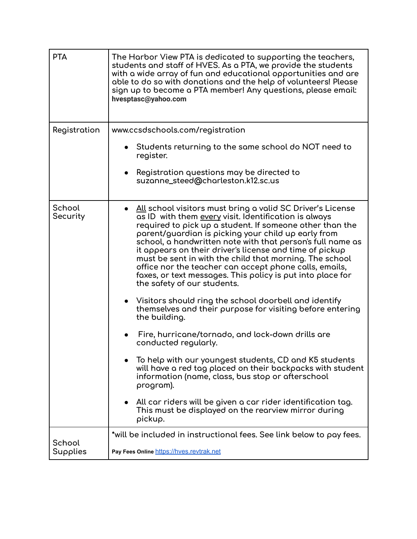| <b>PTA</b>         | The Harbor View PTA is dedicated to supporting the teachers,<br>students and staff of HVES. As a PTA, we provide the students<br>with a wide array of fun and educational opportunities and are<br>able to do so with donations and the help of volunteers! Please<br>sign up to become a PTA member! Any questions, please email:<br>hvesptasc@yahoo.com                                                                                                                                                                                                                         |
|--------------------|-----------------------------------------------------------------------------------------------------------------------------------------------------------------------------------------------------------------------------------------------------------------------------------------------------------------------------------------------------------------------------------------------------------------------------------------------------------------------------------------------------------------------------------------------------------------------------------|
| Registration       | www.ccsdschools.com/registration                                                                                                                                                                                                                                                                                                                                                                                                                                                                                                                                                  |
|                    | Students returning to the same school do NOT need to<br>register.                                                                                                                                                                                                                                                                                                                                                                                                                                                                                                                 |
|                    | Registration questions may be directed to<br>suzanne_steed@charleston.k12.sc.us                                                                                                                                                                                                                                                                                                                                                                                                                                                                                                   |
| School<br>Security | All school visitors must bring a valid SC Driver's License<br>as ID with them every visit. Identification is always<br>required to pick up a student. If someone other than the<br>parent/guardian is picking your child up early from<br>school, a handwritten note with that person's full name as<br>it appears on their driver's license and time of pickup<br>must be sent in with the child that morning. The school<br>office nor the teacher can accept phone calls, emails,<br>faxes, or text messages. This policy is put into place for<br>the safety of our students. |
|                    | Visitors should ring the school doorbell and identify<br>themselves and their purpose for visiting before entering<br>the building.                                                                                                                                                                                                                                                                                                                                                                                                                                               |
|                    | Fire, hurricane/tornado, and lock-down drills are<br>conducted regularly.                                                                                                                                                                                                                                                                                                                                                                                                                                                                                                         |
|                    | To help with our youngest students, CD and K5 students<br>will have a red tag placed on their backpacks with student<br>information (name, class, bus stop or afterschool<br>program).                                                                                                                                                                                                                                                                                                                                                                                            |
|                    | All car riders will be given a car rider identification tag.<br>This must be displayed on the rearview mirror during<br>pickup.                                                                                                                                                                                                                                                                                                                                                                                                                                                   |
| School             | *will be included in instructional fees. See link below to pay fees.                                                                                                                                                                                                                                                                                                                                                                                                                                                                                                              |
| Supplies           | Pay Fees Online https://hves.revtrak.net                                                                                                                                                                                                                                                                                                                                                                                                                                                                                                                                          |